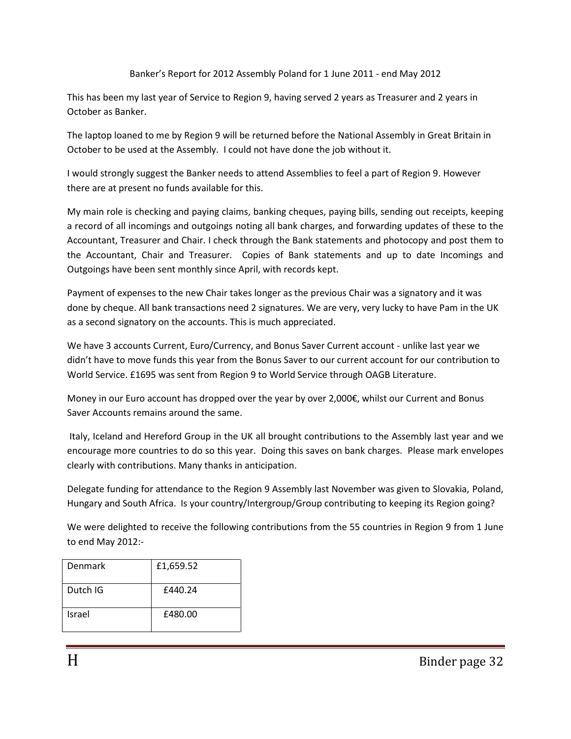## Banker's Report for 2012 Assembly Poland for 1 June 2011 - end May 2012

This has been my last year of Service to Region 9, having served 2 years as Treasurer and 2 years in October as Banker.

The laptop loaned to me by Region 9 will be returned before the National Assembly in Great Britain in October to be used at the Assembly. I could not have done the job without it.

I would strongly suggest the Banker needs to attend Assemblies to feel a part of Region 9. However there are at present no funds available for this.

My main role is checking and paying claims, banking cheques, paying bills, sending out receipts, keeping a record of all incomings and outgoings noting all bank charges, and forwarding updates of these to the Accountant, Treasurer and Chair. I check through the Bank statements and photocopy and post them to the Accountant, Chair and Treasurer. Copies of Bank statements and up to date Incomings and Outgoings have been sent monthly since April, with records kept.

Payment of expenses to the new Chair takes longer as the previous Chair was a signatory and it was done by cheque. All bank transactions need 2 signatures. We are very, very lucky to have Pam in the UK as a second signatory on the accounts. This is much appreciated.

We have 3 accounts Current, Euro/Currency, and Bonus Saver Current account - unlike last year we didn't have to move funds this year from the Bonus Saver to our current account for our contribution to World Service. £1695 was sent from Region 9 to World Service through OAGB Literature.

Money in our Euro account has dropped over the year by over 2,000€, whilst our Current and Bonus Saver Accounts remains around the same.

Italy, Iceland and Hereford Group in the UK all brought contributions to the Assembly last year and we encourage more countries to do so this year. Doing this saves on bank charges. Please mark envelopes clearly with contributions. Many thanks in anticipation.

Delegate funding for attendance to the Region 9 Assembly last November was given to Slovakia, Poland, Hungary and South Africa. Is your country/Intergroup/Group contributing to keeping its Region going?

We were delighted to receive the following contributions from the 55 countries in Region 9 from 1 June to end May 2012:-

| Denmark  | £1,659.52 |
|----------|-----------|
| Dutch IG | £440.24   |
| Israel   | £480.00   |